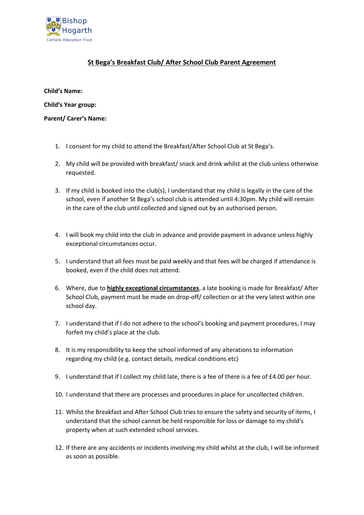

## **St Bega's Breakfast Club/ After School Club Parent Agreement**

**Child's Name:**

**Child's Year group:**

**Parent/ Carer's Name:**

- 1. I consent for my child to attend the Breakfast/After School Club at St Bega's.
- 2. My child will be provided with breakfast/ snack and drink whilst at the club unless otherwise requested.
- 3. If my child is booked into the club(s), I understand that my child is legally in the care of the school, even if another St Bega's school club is attended until 4:30pm. My child will remain in the care of the club until collected and signed out by an authorised person.
- 4. I will book my child into the club in advance and provide payment in advance unless highly exceptional circumstances occur.
- 5. I understand that all fees must be paid weekly and that fees will be charged if attendance is booked, even if the child does not attend.
- 6. Where, due to **highly exceptional circumstances**, a late booking is made for Breakfast/ After School Club, payment must be made on drop-off/ collection or at the very latest within one school day.
- 7. I understand that if I do not adhere to the school's booking and payment procedures, I may forfeit my child's place at the club.
- 8. It is my responsibility to keep the school informed of any alterations to information regarding my child (e.g. contact details, medical conditions etc)
- 9. I understand that if I collect my child late, there is a fee of there is a fee of £4.00 per hour.
- 10. I understand that there are processes and procedures in place for uncollected children.
- 11. Whilst the Breakfast and After School Club tries to ensure the safety and security of items, I understand that the school cannot be held responsible for loss or damage to my child's property when at such extended school services.
- 12. If there are any accidents or incidents involving my child whilst at the club, I will be informed as soon as possible.